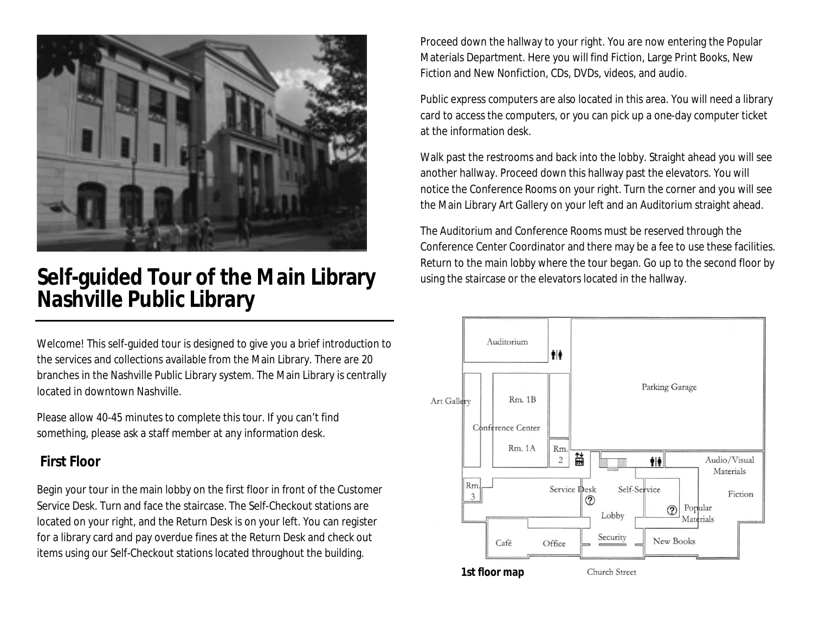

## **Self-guided Tour of the Main Library Nashville Public Library**

Welcome! This self-guided tour is designed to give you a brief introduction to the services and collections available from the Main Library. There are 20 branches in the Nashville Public Library system. The Main Library is centrally located in downtown Nashville.

Please allow 40-45 minutes to complete this tour. If you can't find something, please ask a staff member at any information desk.

## **First Floor**

Begin your tour in the main lobby on the first floor in front of the Customer Service Desk. Turn and face the staircase. The Self-Checkout stations are located on your right, and the Return Desk is on your left. You can register for a library card and pay overdue fines at the Return Desk and check out items using our Self-Checkout stations located throughout the building.

Proceed down the hallway to your right. You are now entering the Popular Materials Department. Here you will find Fiction, Large Print Books, New Fiction and New Nonfiction, CDs, DVDs, videos, and audio.

Public express computers are also located in this area. You will need a library card to access the computers, or you can pick up a one-day computer ticket at the information desk.

Walk past the restrooms and back into the lobby. Straight ahead you will see another hallway. Proceed down this hallway past the elevators. You will notice the Conference Rooms on your right. Turn the corner and you will see the Main Library Art Gallery on your left and an Auditorium straight ahead.

The Auditorium and Conference Rooms must be reserved through the Conference Center Coordinator and there may be a fee to use these facilities. Return to the main lobby where the tour began. Go up to the second floor by using the staircase or the elevators located in the hallway.

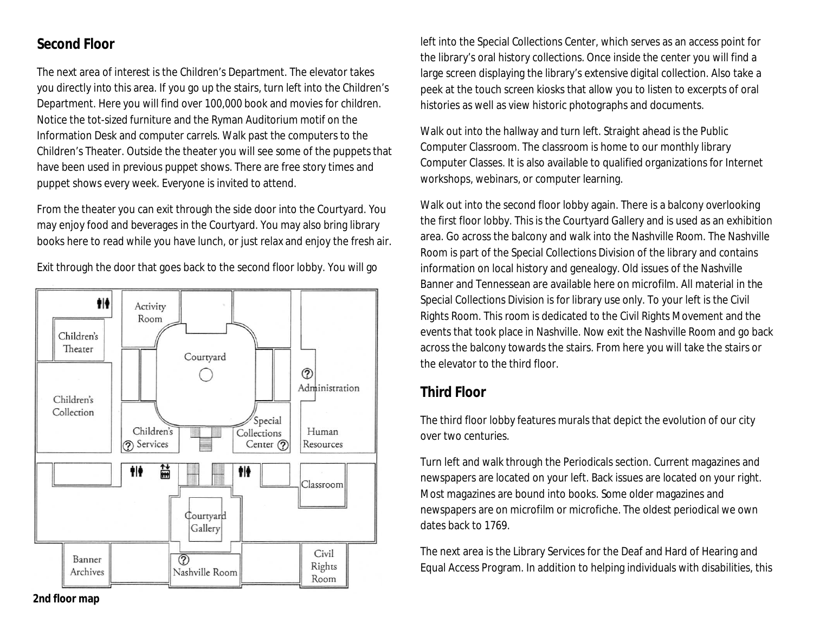## **Second Floor**

The next area of interest is the Children's Department. The elevator takes you directly into this area. If you go up the stairs, turn left into the Children's Department. Here you will find over 100,000 book and movies for children. Notice the tot-sized furniture and the Ryman Auditorium motif on the Information Desk and computer carrels. Walk past the computers to the Children's Theater. Outside the theater you will see some of the puppets that have been used in previous puppet shows. There are free story times and puppet shows every week. Everyone is invited to attend.

From the theater you can exit through the side door into the Courtyard. You may enjoy food and beverages in the Courtyard. You may also bring library books here to read while you have lunch, or just relax and enjoy the fresh air.



Exit through the door that goes back to the second floor lobby. You will go

left into the Special Collections Center, which serves as an access point for the library's oral history collections. Once inside the center you will find a large screen displaying the library's extensive digital collection. Also take a peek at the touch screen kiosks that allow you to listen to excerpts of oral histories as well as view historic photographs and documents.

Walk out into the hallway and turn left. Straight ahead is the Public Computer Classroom. The classroom is home to our monthly library Computer Classes. It is also available to qualified organizations for Internet workshops, webinars, or computer learning.

Walk out into the second floor lobby again. There is a balcony overlooking the first floor lobby. This is the Courtyard Gallery and is used as an exhibition area. Go across the balcony and walk into the Nashville Room. The Nashville Room is part of the Special Collections Division of the library and contains information on local history and genealogy. Old issues of the Nashville Banner and Tennessean are available here on microfilm. All material in the Special Collections Division is for library use only. To your left is the Civil Rights Room. This room is dedicated to the Civil Rights Movement and the events that took place in Nashville. Now exit the Nashville Room and go back across the balcony towards the stairs. From here you will take the stairs or the elevator to the third floor.

## **Third Floor**

The third floor lobby features murals that depict the evolution of our city over two centuries.

Turn left and walk through the Periodicals section. Current magazines and newspapers are located on your left. Back issues are located on your right. Most magazines are bound into books. Some older magazines and newspapers are on microfilm or microfiche. The oldest periodical we own dates back to 1769.

The next area is the Library Services for the Deaf and Hard of Hearing and Equal Access Program. In addition to helping individuals with disabilities, this